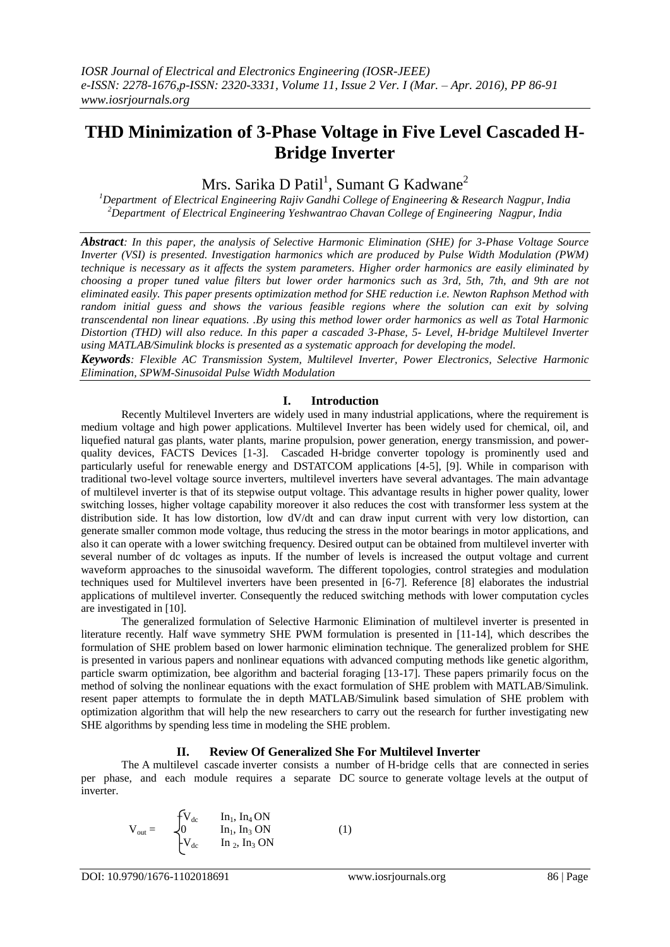# **THD Minimization of 3-Phase Voltage in Five Level Cascaded H-Bridge Inverter**

Mrs. Sarika D $\rm~Patil^1,~Sumant~G~Kadwane^2$ 

*<sup>1</sup>Department of Electrical Engineering Rajiv Gandhi College of Engineering & Research Nagpur, India <sup>2</sup>Department of Electrical Engineering Yeshwantrao Chavan College of Engineering Nagpur, India*

*Abstract: In this paper, the analysis of Selective Harmonic Elimination (SHE) for 3-Phase Voltage Source Inverter (VSI) is presented. Investigation harmonics which are produced by Pulse Width Modulation (PWM) technique is necessary as it affects the system parameters. Higher order harmonics are easily eliminated by choosing a proper tuned value filters but lower order harmonics such as 3rd, 5th, 7th, and 9th are not eliminated easily. This paper presents optimization method for SHE reduction i.e. Newton Raphson Method with random initial guess and shows the various feasible regions where the solution can exit by solving transcendental non linear equations. .By using this method lower order harmonics as well as Total Harmonic Distortion (THD) will also reduce. In this paper a cascaded 3-Phase, 5- Level, H-bridge Multilevel Inverter using MATLAB/Simulink blocks is presented as a systematic approach for developing the model.*

*Keywords: Flexible AC Transmission System, Multilevel Inverter, Power Electronics, Selective Harmonic Elimination, SPWM-Sinusoidal Pulse Width Modulation*

## **I. Introduction**

Recently Multilevel Inverters are widely used in many industrial applications, where the requirement is medium voltage and high power applications. Multilevel Inverter has been widely used for chemical, oil, and liquefied natural gas plants, water plants, marine propulsion, power generation, energy transmission, and powerquality devices, FACTS Devices [1-3]. Cascaded H-bridge converter topology is prominently used and particularly useful for renewable energy and DSTATCOM applications [4-5], [9]. While in comparison with traditional two-level voltage source inverters, multilevel inverters have several advantages. The main advantage of multilevel inverter is that of its stepwise output voltage. This advantage results in higher power quality, lower switching losses, higher voltage capability moreover it also reduces the cost with transformer less system at the distribution side. It has low distortion, low dV/dt and can draw input current with very low distortion, can generate smaller common mode voltage, thus reducing the stress in the motor bearings in motor applications, and also it can operate with a lower switching frequency. Desired output can be obtained from multilevel inverter with several number of dc voltages as inputs. If the number of levels is increased the output voltage and current waveform approaches to the sinusoidal waveform. The different topologies, control strategies and modulation techniques used for Multilevel inverters have been presented in [6-7]. Reference [8] elaborates the industrial applications of multilevel inverter. Consequently the reduced switching methods with lower computation cycles are investigated in [10].

The generalized formulation of Selective Harmonic Elimination of multilevel inverter is presented in literature recently. Half wave symmetry SHE PWM formulation is presented in [11-14], which describes the formulation of SHE problem based on lower harmonic elimination technique. The generalized problem for SHE is presented in various papers and nonlinear equations with advanced computing methods like genetic algorithm, particle swarm optimization, bee algorithm and bacterial foraging [13-17]. These papers primarily focus on the method of solving the nonlinear equations with the exact formulation of SHE problem with MATLAB/Simulink. resent paper attempts to formulate the in depth MATLAB/Simulink based simulation of SHE problem with optimization algorithm that will help the new researchers to carry out the research for further investigating new SHE algorithms by spending less time in modeling the SHE problem.

## **II. Review Of Generalized She For Multilevel Inverter**

The A multilevel cascade inverter consists a number of H-bridge cells that are connected in series per phase, and each module requires a separate DC source to generate voltage levels at the output of inverter.

$$
V_{out} = \begin{cases} V_{dc} & In_1, In_4 ON \\ 0 & In_1, In_3 ON \\ V_{dc} & In_2, In_3 ON \end{cases}
$$
 (1)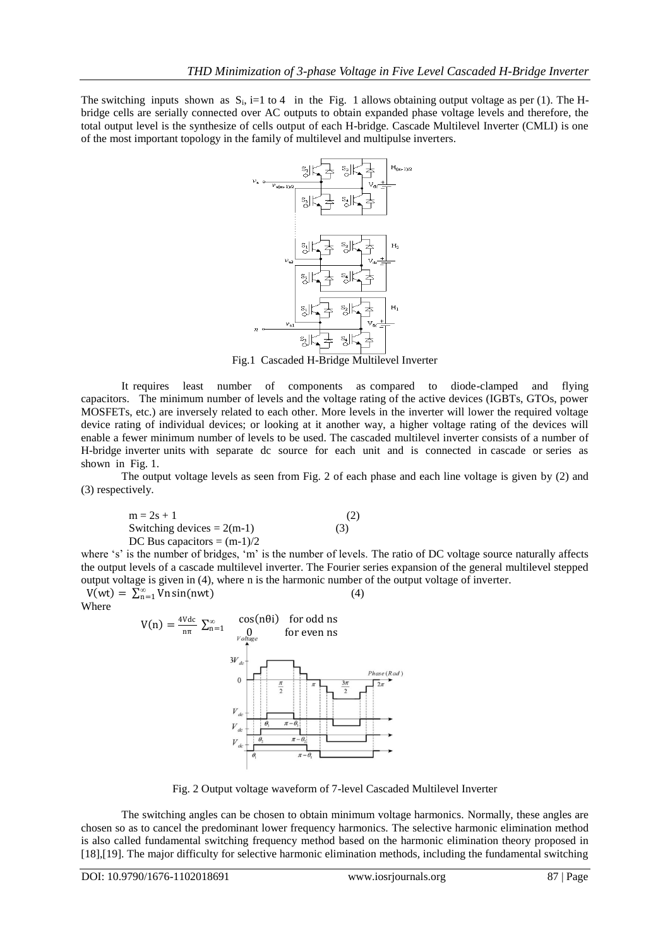The switching inputs shown as  $S_i$ , i=1 to 4 in the Fig. 1 allows obtaining output voltage as per (1). The Hbridge cells are serially connected over AC outputs to obtain expanded phase voltage levels and therefore, the total output level is the synthesize of cells output of each H-bridge. Cascade Multilevel Inverter (CMLI) is one of the most important topology in the family of multilevel and multipulse inverters.



Fig.1 Cascaded H-Bridge Multilevel Inverter

It requires least number of components as compared to diode-clamped and flying capacitors. The minimum number of levels and the voltage rating of the active devices (IGBTs, GTOs, power MOSFETs, etc.) are inversely related to each other. More levels in the inverter will lower the required voltage device rating of individual devices; or looking at it another way, a higher voltage rating of the devices will enable a fewer minimum number of levels to be used. The cascaded multilevel inverter consists of a number of H-bridge inverter units with separate dc source for each unit and is connected in cascade or series as shown in Fig. 1.

The output voltage levels as seen from Fig. 2 of each phase and each line voltage is given by (2) and (3) respectively.

$$
m = 2s + 1
$$
 (2)  
Switching devices = 2(m-1) (3)  
DC Bus capacitors = (m-1)/2

where 's' is the number of bridges, 'm' is the number of levels. The ratio of DC voltage source naturally affects the output levels of a cascade multilevel inverter. The Fourier series expansion of the general multilevel stepped output voltage is given in (4), where n is the harmonic number of the output voltage of inverter.  $V(wt) = \sum_{n=1}^{\infty} V_n \sin(nwt)$ (4)

Where



Fig. 2 Output voltage waveform of 7-level Cascaded Multilevel Inverter

The switching angles can be chosen to obtain minimum voltage harmonics. Normally, these angles are chosen so as to cancel the predominant lower frequency harmonics. The selective harmonic elimination method is also called fundamental switching frequency method based on the harmonic elimination theory proposed in [18],[19]. The major difficulty for selective harmonic elimination methods, including the fundamental switching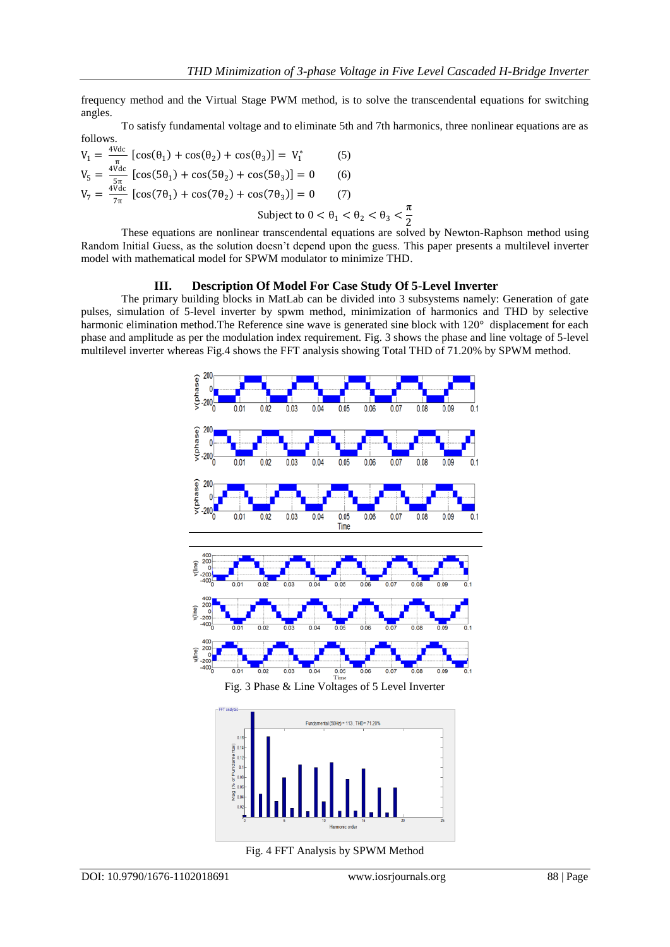π

frequency method and the Virtual Stage PWM method, is to solve the transcendental equations for switching angles.

To satisfy fundamental voltage and to eliminate 5th and 7th harmonics, three nonlinear equations are as follows.

$$
V_1 = \frac{4 \text{Vdc}}{\pi} \left[ \cos(\theta_1) + \cos(\theta_2) + \cos(\theta_3) \right] = V_1^*
$$
(5)  
\n
$$
V_5 = \frac{4 \text{Vdc}}{5\pi} \left[ \cos(5\theta_1) + \cos(5\theta_2) + \cos(5\theta_3) \right] = 0
$$
(6)  
\n
$$
V_7 = \frac{4 \text{Vdc}}{7\pi} \left[ \cos(7\theta_1) + \cos(7\theta_2) + \cos(7\theta_3) \right] = 0
$$
(7)  
\nSubject to  $0 < \theta_1 < \theta_2 < \theta_3 < \theta_3$ 

2 These equations are nonlinear transcendental equations are solved by Newton-Raphson method using Random Initial Guess, as the solution doesn't depend upon the guess. This paper presents a multilevel inverter model with mathematical model for SPWM modulator to minimize THD.

#### **III. Description Of Model For Case Study Of 5-Level Inverter**

The primary building blocks in MatLab can be divided into 3 subsystems namely: Generation of gate pulses, simulation of 5-level inverter by spwm method, minimization of harmonics and THD by selective harmonic elimination method. The Reference sine wave is generated sine block with 120° displacement for each phase and amplitude as per the modulation index requirement. Fig. 3 shows the phase and line voltage of 5-level multilevel inverter whereas Fig.4 shows the FFT analysis showing Total THD of 71.20% by SPWM method.





Fig. 4 FFT Analysis by SPWM Method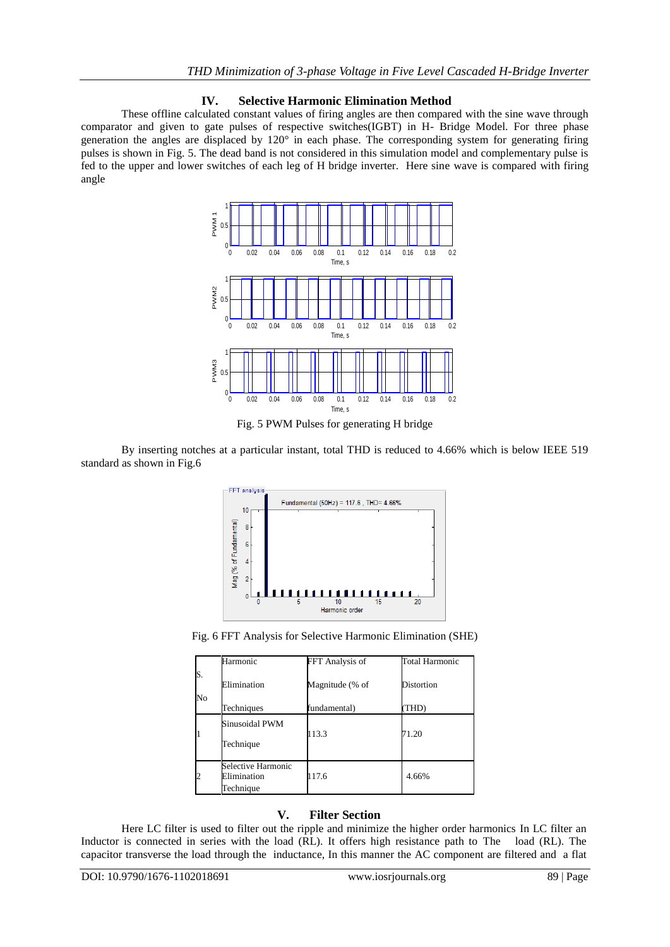## **IV. Selective Harmonic Elimination Method**

These offline calculated constant values of firing angles are then compared with the sine wave through comparator and given to gate pulses of respective switches(IGBT) in H- Bridge Model. For three phase generation the angles are displaced by 120° in each phase. The corresponding system for generating firing pulses is shown in Fig. 5. The dead band is not considered in this simulation model and complementary pulse is fed to the upper and lower switches of each leg of H bridge inverter. Here sine wave is compared with firing angle



Fig. 5 PWM Pulses for generating H bridge

By inserting notches at a particular instant, total THD is reduced to 4.66% which is below IEEE 519 standard as shown in Fig.6



Fig. 6 FFT Analysis for Selective Harmonic Elimination (SHE)

|    | Harmonic                                       | FFT Analysis of | <b>Total Harmonic</b> |
|----|------------------------------------------------|-----------------|-----------------------|
| No | Elimination                                    | Magnitude (% of | Distortion            |
|    | Techniques                                     | fundamental)    | (THD)                 |
|    | Sinusoidal PWM                                 |                 |                       |
|    | Technique                                      | 113.3           | 71.20                 |
|    | Selective Harmonic<br>Elimination<br>Technique | 117.6           | 4.66%                 |

## **V. Filter Section**

Here LC filter is used to filter out the ripple and minimize the higher order harmonics In LC filter an Inductor is connected in series with the load (RL). It offers high resistance path to The load (RL). The capacitor transverse the load through the inductance, In this manner the AC component are filtered and a flat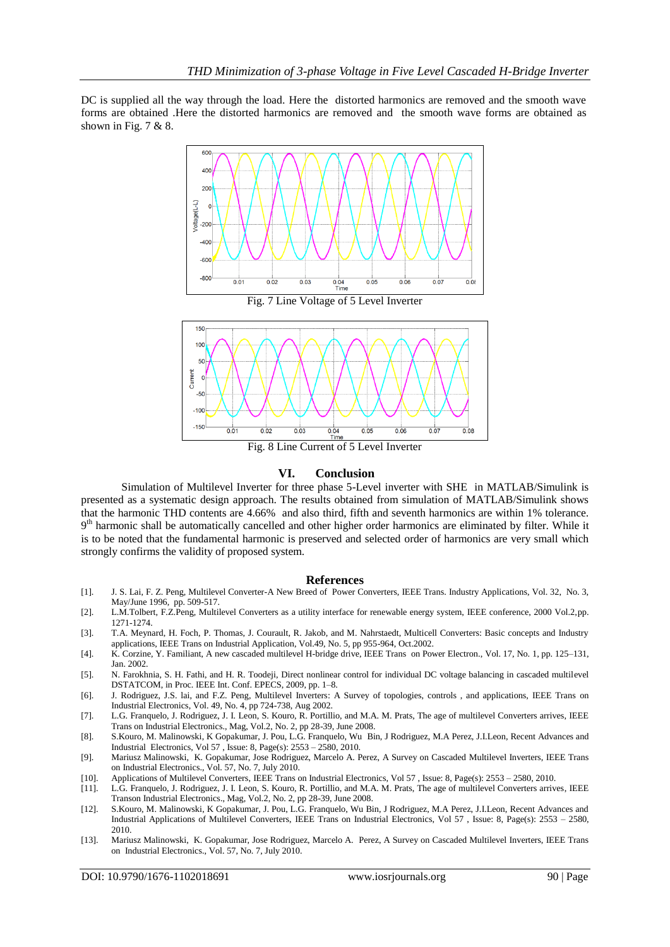DC is supplied all the way through the load. Here the distorted harmonics are removed and the smooth wave forms are obtained .Here the distorted harmonics are removed and the smooth wave forms are obtained as shown in Fig.  $7 & 8$ .



#### **VI. Conclusion**

Simulation of Multilevel Inverter for three phase 5-Level inverter with SHE in MATLAB/Simulink is presented as a systematic design approach. The results obtained from simulation of MATLAB/Simulink shows that the harmonic THD contents are 4.66% and also third, fifth and seventh harmonics are within 1% tolerance. 9<sup>th</sup> harmonic shall be automatically cancelled and other higher order harmonics are eliminated by filter. While it is to be noted that the fundamental harmonic is preserved and selected order of harmonics are very small which strongly confirms the validity of proposed system.

#### **References**

- [1]. J. S. Lai, F. Z. Peng, Multilevel Converter-A New Breed of Power Converters, IEEE Trans. Industry Applications, Vol. 32, No. 3, May/June 1996, pp. 509-517.
- [2]. L.M.Tolbert, F.Z.Peng, Multilevel Converters as a utility interface for renewable energy system, IEEE conference, 2000 Vol.2,pp. 1271-1274.
- [3]. T.A. Meynard, H. Foch, P. Thomas, J. Courault, R. Jakob, and M. Nahrstaedt, Multicell Converters: Basic concepts and Industry applications, IEEE Trans on Industrial Application, Vol.49, No. 5, pp 955-964, Oct.2002.
- [4]. K. Corzine, Y. Familiant, A new cascaded multilevel H-bridge drive, IEEE Trans on Power Electron., Vol. 17, No. 1, pp. 125–131, Jan. 2002.
- [5]. N. Farokhnia, S. H. Fathi, and H. R. Toodeji, Direct nonlinear control for individual DC voltage balancing in cascaded multilevel DSTATCOM, in Proc. IEEE Int. Conf. EPECS, 2009, pp. 1–8.
- [6]. J. Rodriguez, J.S. lai, and F.Z. Peng, Multilevel Inverters: A Survey of topologies, controls , and applications, IEEE Trans on Industrial Electronics, Vol. 49, No. 4, pp 724-738, Aug 2002.
- [7]. L.G. Franquelo, J. Rodriguez, J. I. Leon, S. Kouro, R. Portillio, and M.A. M. Prats, The age of multilevel Converters arrives, IEEE Trans on Industrial Electronics., Mag, Vol.2, No. 2, pp 28-39, June 2008.
- [8]. S.Kouro, M. Malinowski, K Gopakumar, J. Pou, L.G. Franquelo, Wu Bin, J Rodriguez, M.A Perez, J.I.Leon, Recent Advances and Industrial Electronics, Vol 57 , [Issue: 8, Page\(s\): 2553 –](http://ieeexplore.ieee.org/xpl/tocresult.jsp?isnumber=5508599) 2580, 2010.
- [9]. Mariusz Malinowski, K. Gopakumar, Jose Rodriguez, Marcelo A. Perez, A Survey on Cascaded Multilevel Inverters, IEEE Trans on Industrial Electronics., Vol. 57, No. 7, July 2010.
- [10]. Applications of Multilevel Converters, IEEE Trans on Industrial Electronics, Vol 57 , [Issue: 8, Page\(s\): 2553 –](http://ieeexplore.ieee.org/xpl/tocresult.jsp?isnumber=5508599) 2580, 2010.
- [11]. L.G. Franquelo, J. Rodriguez, J. I. Leon, S. Kouro, R. Portillio, and M.A. M. Prats, The age of multilevel Converters arrives, IEEE Transon Industrial Electronics., Mag, Vol.2, No. 2, pp 28-39, June 2008.
- [12]. S.Kouro, M. Malinowski, K Gopakumar, J. Pou, L.G. Franquelo, Wu Bin, J Rodriguez, M.A Perez, J.I.Leon, Recent Advances and Industrial Applications of Multilevel Converters, IEEE Trans on Industrial Electronics, Vol 57 , [Issue: 8, Page\(s\): 2553 –](http://ieeexplore.ieee.org/xpl/tocresult.jsp?isnumber=5508599) 2580, [2010.](http://ieeexplore.ieee.org/xpl/tocresult.jsp?isnumber=5508599)
- [13]. Mariusz Malinowski, K. Gopakumar, Jose Rodriguez, Marcelo A. Perez, A Survey on Cascaded Multilevel Inverters, IEEE Trans on Industrial Electronics., Vol. 57, No. 7, July 2010.